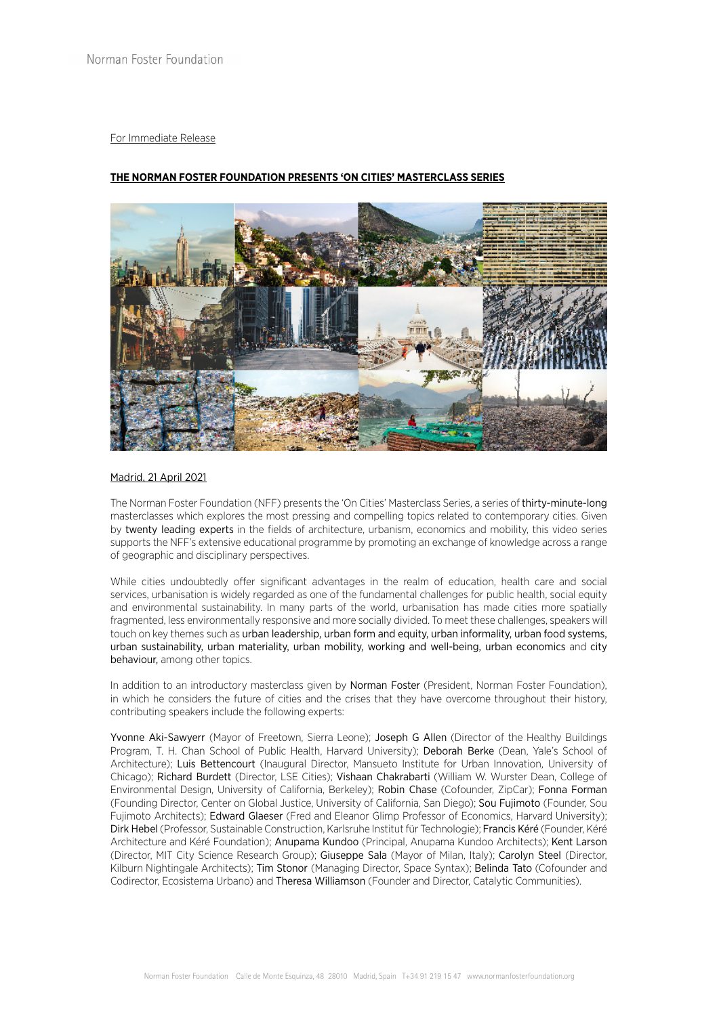## For Immediate Release

# **THE NORMAN FOSTER FOUNDATION PRESENTS 'ON CITIES' MASTERCLASS SERIES**



### Madrid, 21 April 2021

The Norman Foster Foundation (NFF) presents the 'On Cities' Masterclass Series, a series of thirty-minute-long masterclasses which explores the most pressing and compelling topics related to contemporary cities. Given by twenty leading experts in the fields of architecture, urbanism, economics and mobility, this video series supports the NFF's extensive educational programme by promoting an exchange of knowledge across a range of geographic and disciplinary perspectives.

While cities undoubtedly offer significant advantages in the realm of education, health care and social services, urbanisation is widely regarded as one of the fundamental challenges for public health, social equity and environmental sustainability. In many parts of the world, urbanisation has made cities more spatially fragmented, less environmentally responsive and more socially divided. To meet these challenges, speakers will touch on key themes such as urban leadership, urban form and equity, urban informality, urban food systems, urban sustainability, urban materiality, urban mobility, working and well-being, urban economics and city behaviour, among other topics.

In addition to an introductory masterclass given by Norman Foster (President, Norman Foster Foundation), in which he considers the future of cities and the crises that they have overcome throughout their history, contributing speakers include the following experts:

Yvonne Aki-Sawyerr (Mayor of Freetown, Sierra Leone); Joseph G Allen (Director of the Healthy Buildings Program, T. H. Chan School of Public Health, Harvard University); Deborah Berke (Dean, Yale's School of Architecture); Luis Bettencourt (Inaugural Director, Mansueto Institute for Urban Innovation, University of Chicago); Richard Burdett (Director, LSE Cities); Vishaan Chakrabarti (William W. Wurster Dean, College of Environmental Design, University of California, Berkeley); Robin Chase (Cofounder, ZipCar); Fonna Forman (Founding Director, Center on Global Justice, University of California, San Diego); Sou Fujimoto (Founder, Sou Fujimoto Architects); Edward Glaeser (Fred and Eleanor Glimp Professor of Economics, Harvard University); Dirk Hebel (Professor, Sustainable Construction, Karlsruhe Institut für Technologie); Francis Kéré (Founder, Kéré Architecture and Kéré Foundation); Anupama Kundoo (Principal, Anupama Kundoo Architects); Kent Larson (Director, MIT City Science Research Group); Giuseppe Sala (Mayor of Milan, Italy); Carolyn Steel (Director, Kilburn Nightingale Architects); Tim Stonor (Managing Director, Space Syntax); Belinda Tato (Cofounder and Codirector, Ecosistema Urbano) and Theresa Williamson (Founder and Director, Catalytic Communities).